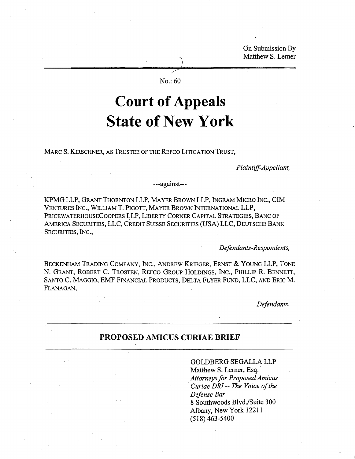On Submission By Matthew S. Lerner

/ No.: 60

)

# **Court of Appeals State** of New **York**

MARC S. KIRSCHNER, AS TRUSTEE OF THE REFCO LITIGATION TRUST,

*Plaintiff-Appellant,*

### ---against---

KPMG LLP, GRANT THORNTON LLP, MAYER BROWN LLP, INGRAM MICRO INC., CIM VENTURES INC., WILLIAM T. PIGOTT, MAYER BROWN INTERNATIONAL LLP, PRICEWATERHOUSECOOPERS LLP, LIBERTY CORNER CAPITAL STRATEGIES, BANC OF AMERICA SECURITIES, LLC, CREDIT SUISSE SECURITIES (USA) LLC, DEUTSCHE BANK SECURITIES, INC.,

*Defendants-Respondents,*

BECKENHAM TRADING COMPANY, INC., ANDREW KRIEGER, ERNST & YOUNG LLP, TONE N. GRANT, ROBERT C. TROSTEN, REFCO GROUP HOLDINGS, INC., PHILLIP R. BENNETT, SANTO C. MAGGIO, EMF FINANCIAL PRODUCTS, DELTA FLYER FUND, LLC, AND ERIC M. FLANAGAN,

*Defendants.*

### **PROPOSED AMICUS CURIAE BRIEF**

#### GOLDBERG SEGALLA LLP

Matthew S. Lerner, Esq. *Attorneysfor Proposed Amicus Curiae DRl-- The Voice ofthe Defense Bar* 8 Southwoods Blvd./Suite 300 Albany, New York 12211  $(518)$  463-5400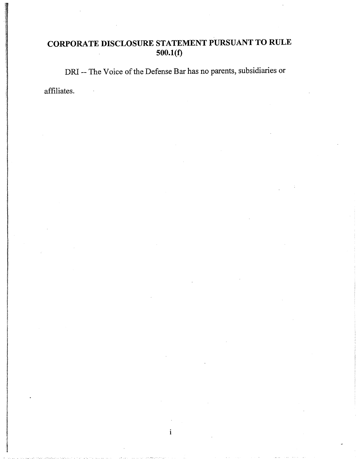## **CORPORATE DISCLOSURE STATEMENT PURSUANT TO RULE 500.1(f)**

DRI -- The Voice of the Defense Bar has no parents, subsidiaries or

i

affiliates.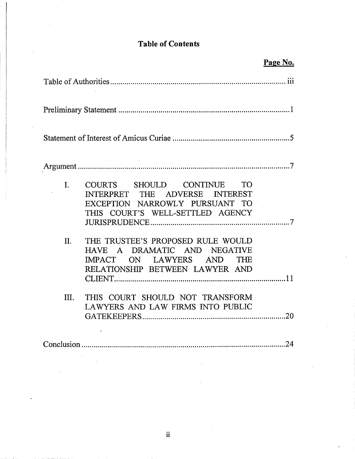# **Table of Contents**

|                                                                                                                                                     | Page No. |
|-----------------------------------------------------------------------------------------------------------------------------------------------------|----------|
|                                                                                                                                                     |          |
|                                                                                                                                                     |          |
|                                                                                                                                                     |          |
|                                                                                                                                                     |          |
| $\mathbf{I}$ .<br>COURTS SHOULD CONTINUE TO<br>INTERPRET THE ADVERSE INTEREST<br>EXCEPTION NARROWLY PURSUANT TO<br>THIS COURT'S WELL-SETTLED AGENCY |          |
| THE TRUSTEE'S PROPOSED RULE WOULD<br>II.<br>HAVE A DRAMATIC AND NEGATIVE<br>IMPACT ON LAWYERS AND THE<br>RELATIONSHIP BETWEEN LAWYER AND            |          |
| THIS COURT SHOULD NOT TRANSFORM<br>III.<br>LAWYERS AND LAW FIRMS INTO PUBLIC                                                                        |          |
|                                                                                                                                                     |          |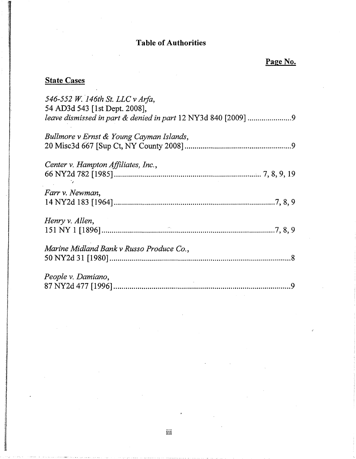### Table of Authorities

# **State Cases**

in a matematical control of the control of the control of the control of the control of the control of the control of the control of the control of the control of the control of the control of the control of the control of

| 546-552 W. 146th St. LLC v Arfa,<br>54 AD3d 543 [1st Dept. 2008], |
|-------------------------------------------------------------------|
| Bullmore v Ernst & Young Cayman Islands,                          |
| Center v. Hampton Affiliates, Inc.,                               |
| Farr v. Newman,                                                   |
| Henry v. Allen,                                                   |
| Marine Midland Bank v Russo Produce Co.,                          |
| People v. Damiano,                                                |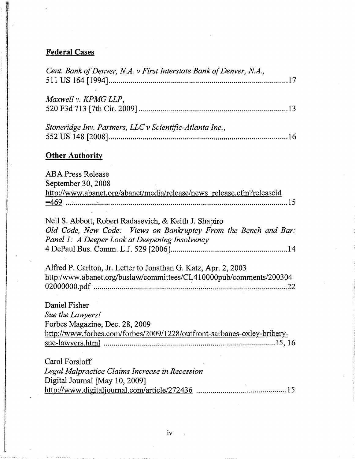# **Federal Cases**

| Cent. Bank of Denver, N.A. v First Interstate Bank of Denver, N.A.,                                                      |
|--------------------------------------------------------------------------------------------------------------------------|
|                                                                                                                          |
| Maxwell v. KPMG LLP,                                                                                                     |
|                                                                                                                          |
|                                                                                                                          |
| Stoneridge Inv. Partners, LLC v Scientific-Atlanta Inc.,                                                                 |
|                                                                                                                          |
| <b>Other Authority</b>                                                                                                   |
| <b>ABA Press Release</b>                                                                                                 |
| September 30, 2008                                                                                                       |
| http://www.abanet.org/abanet/media/release/news_release.cfm?releaseid                                                    |
|                                                                                                                          |
|                                                                                                                          |
| Neil S. Abbott, Robert Radasevich, & Keith J. Shapiro<br>Old Code, New Code: Views on Bankruptcy From the Bench and Bar: |
| Panel 1: A Deeper Look at Deepening Insolvency                                                                           |
|                                                                                                                          |
|                                                                                                                          |
| Alfred P. Carlton, Jr. Letter to Jonathan G. Katz, Apr. 2, 2003                                                          |
| http:/www.abanet.org/buslaw/committees/CL410000pub/comments/200304                                                       |
|                                                                                                                          |
| Daniel Fisher                                                                                                            |
| Sue the Lawyers!                                                                                                         |
| Forbes Magazine, Dec. 28, 2009                                                                                           |
| http://www.forbes.com/forbes/2009/1228/outfront-sarbanes-oxley-bribery-                                                  |
|                                                                                                                          |
|                                                                                                                          |
| Carol Forsloff                                                                                                           |
| Legal Malpractice Claims Increase in Recession                                                                           |
| Digital Journal [May 10, 2009]<br>.15                                                                                    |
|                                                                                                                          |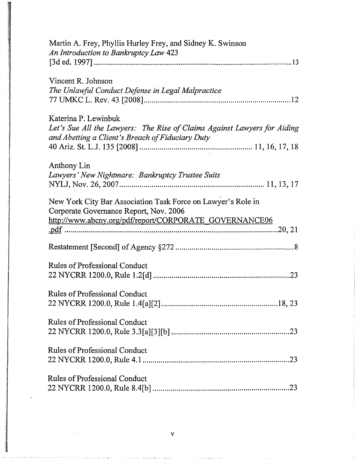| Martin A. Frey, Phyllis Hurley Frey, and Sidney K. Swinson<br>An Introduction to Bankruptcy Law 423                                                              |
|------------------------------------------------------------------------------------------------------------------------------------------------------------------|
| Vincent R. Johnson<br>The Unlawful Conduct Defense in Legal Malpractice                                                                                          |
| Katerina P. Lewinbuk<br>Let's Sue All the Lawyers: The Rise of Claims Against Lawyers for Aiding<br>and Abetting a Client's Breach of Fiduciary Duty             |
| Anthony Lin<br>Lawyers' New Nightmare: Bankruptcy Trustee Suits                                                                                                  |
| New York City Bar Association Task Force on Lawyer's Role in<br>Corporate Governance Report, Nov. 2006<br>http://www.abcny.org/pdf/report/CORPORATE_GOVERNANCE06 |
|                                                                                                                                                                  |
| <b>Rules of Professional Conduct</b>                                                                                                                             |
| <b>Rules of Professional Conduct</b>                                                                                                                             |
| <b>Rules of Professional Conduct</b>                                                                                                                             |
| <b>Rules of Professional Conduct</b>                                                                                                                             |
| <b>Rules of Professional Conduct</b>                                                                                                                             |

 $\mathcal{L}^{\text{max}}_{\text{max}}$ 

 $\mathcal{O}(\mathcal{O}(\log n))$ 

 $\label{eq:2.1} \frac{1}{\sqrt{2}}\int_{\mathbb{R}^3}\frac{1}{\sqrt{2}}\left(\frac{1}{\sqrt{2}}\right)^2\frac{1}{\sqrt{2}}\left(\frac{1}{\sqrt{2}}\right)^2\frac{1}{\sqrt{2}}\left(\frac{1}{\sqrt{2}}\right)^2\frac{1}{\sqrt{2}}\left(\frac{1}{\sqrt{2}}\right)^2.$ 

 $\label{eq:2.1} \frac{1}{\sqrt{2\pi}}\int_{\mathbb{R}^3}\frac{1}{\sqrt{2\pi}}\int_{\mathbb{R}^3}\frac{1}{\sqrt{2\pi}}\int_{\mathbb{R}^3}\frac{1}{\sqrt{2\pi}}\int_{\mathbb{R}^3}\frac{1}{\sqrt{2\pi}}\int_{\mathbb{R}^3}\frac{1}{\sqrt{2\pi}}\int_{\mathbb{R}^3}\frac{1}{\sqrt{2\pi}}\int_{\mathbb{R}^3}\frac{1}{\sqrt{2\pi}}\int_{\mathbb{R}^3}\frac{1}{\sqrt{2\pi}}\int_{\mathbb{R}^3}\frac{1$ 

 $\downarrow$ 

ł.

 $\label{eq:2.1} \mathcal{L}(\mathcal{L}^{\text{max}}_{\mathcal{L}}(\mathcal{L}^{\text{max}}_{\mathcal{L}})) \leq \mathcal{L}(\mathcal{L}^{\text{max}}_{\mathcal{L}}(\mathcal{L}^{\text{max}}_{\mathcal{L}}))$ 

 $\mathbf{v} = \frac{1}{2} \sum_{i=1}^{N} \alpha_i \mathbf{v}_i$ 

.<br>The contract of the company of the contract of the contract of the contract of the contract of the contract of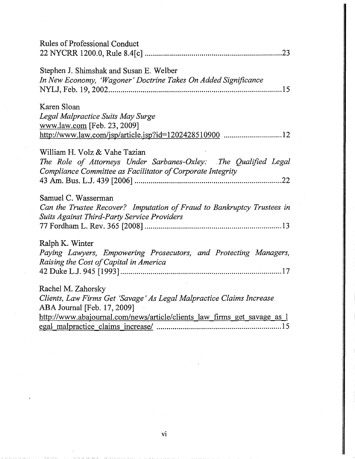| <b>Rules of Professional Conduct</b>                                                                                                                                                                  |
|-------------------------------------------------------------------------------------------------------------------------------------------------------------------------------------------------------|
| Stephen J. Shimshak and Susan E. Welber<br>In New Economy, 'Wagoner' Doctrine Takes On Added Significance                                                                                             |
| Karen Sloan<br>Legal Malpractice Suits May Surge<br>www.law.com [Feb. 23, 2009]<br>http://www.law.com/jsp/article.jsp?id=1202428510900 12                                                             |
| William H. Volz & Vahe Tazian<br>The Role of Attorneys Under Sarbanes-Oxley: The Qualified Legal<br>Compliance Committee as Facilitator of Corporate Integrity                                        |
| Samuel C. Wasserman<br>Can the Trustee Recover? Imputation of Fraud to Bankruptcy Trustees in<br>Suits Against Third-Party Service Providers                                                          |
| Ralph K. Winter<br>Paying Lawyers, Empowering Prosecutors, and Protecting Managers,<br>Raising the Cost of Capital in America                                                                         |
| Rachel M. Zahorsky<br>Clients, Law Firms Get 'Savage' As Legal Malpractice Claims Increase<br>ABA Journal [Feb. 17, 2009]<br>http://www.abajournal.com/news/article/clients_law_firms_get_savage_as_l |
|                                                                                                                                                                                                       |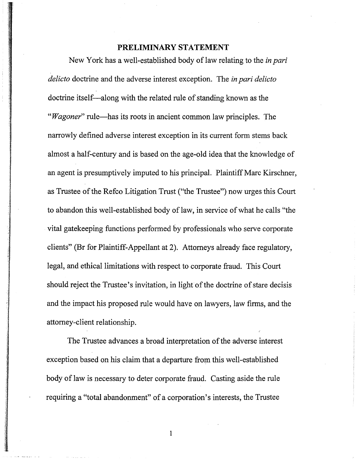### **PRELIMINARY STATEMENT**

New York has a well-established body of law relating to the *in pari delicto* doctrine and the adverse interest exception. The *in pari delicto* doctrine itself-along with the related rule of standing known as the *"Wagoner"* rule—has its roots in ancient common law principles. The narrowly defined adverse interest exception in its current form stems back almost a half-century and is based on the age-old idea that the knowledge of an agent is presumptively imputed to his principal. Plaintiff Marc Kirschner, as Trustee of the Refco Litigation Trust ("the Trustee") now urges this Court to abandon this well-established body of law, in service of what he calls "the vital gatekeeping functions performed by professionals who serve corporate clients" (Br for Plaintiff-Appellant at 2). Attorneys already face regulatory, legal, and ethical limitations with respect to corporate fraud. This Court should reject the Trustee's invitation, in light of the doctrine of stare decisis and the impact his proposed rule would have on lawyers, law firms, and the attorney-client relationship.

The Trustee advances a broad interpretation of the adverse interest exception based on his claim that a departure from this well-established body of law is necessary to deter corporate fraud. Casting aside the rule requiring a "total abandonment" of a corporation's interests, the Trustee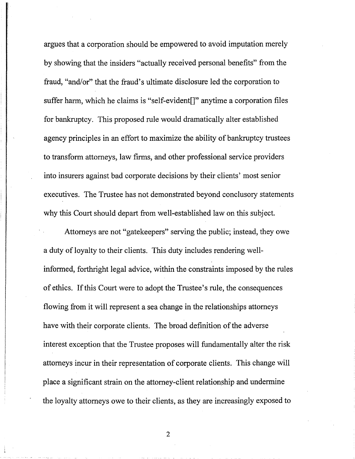argues that a corporation should be empowered to avoid imputation merely by showing that the insiders "actually received personal benefits" from the fraud, "and/or" that the fraud's ultimate disclosure led the corporation to suffer harm, which he claims is "self-evident[]" anytime a corporation files for bankruptcy. This proposed rule would dramatically alter established agency principles in an effort to maximize the ability of bankruptcy trustees to transform attorneys, law firms, and other professional service providers into insurers against bad corporate decisions by their clients' most senior executives. The Trustee has not demonstrated beyond conclusory statements why this Court should depart from well-established law on this subject.

Attorneys are not "gatekeepers" serving the public; instead, they owe a duty of loyalty to their clients. This duty includes rendering wellinformed, forthright legal advice, within the constraints imposed by the rules of ethics. If this Court were to adopt the Trustee's rule, the consequences flowing from it will represent a sea change in the relationships attorneys have with their corporate clients. The broad definition of the adverse interest exception that the Trustee proposes will fundamentally alter the risk attorneys incur in their representation of corporate clients. This change will place a significant strain on the attorney-client relationship and undermine the loyalty attorneys owe to their clients, as they are increasingly exposed to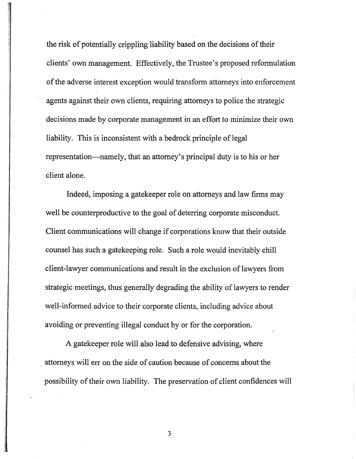the risk of potentially crippling liability based on the decisions of their clients' own management. Effectively, the Trustee's proposed reformulation of the adverse interest exception would transform attorneys into enforcement agents against their own clients, requiring attorneys to police the strategic decisions made by corporate management in an effort to minimize their own liability. This is inconsistent with a bedrock principle of legal representation—namely, that an attorney's principal duty is to his or her client alone.

Indeed, imposing a gatekeeper role on attorneys and law firms may well be counterproductive to the goal of deterring corporate misconduct. Client communications will change if corporations know that their outside counsel has such a gatekeeping role. Such a role would inevitably chill client-lawyer communications and result in the exclusion of lawyers from strategic meetings, thus generally degrading the ability of lawyers to render well-informed advice to their corporate clients, including advice about avoiding or preventing illegal conduct by or for the corporation.

A gatekeeper role will also lead to defensive advising, where attorneys will err on the side of caution because of concerns about the possibility of their own liability. The preservation of client confidences will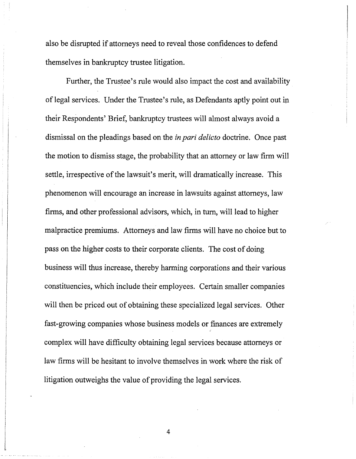also be disrupted if attorneys need to reveal those confidences to defend themselves in bankruptcy trustee litigation.

Further, the Trustee's rule would also impact the cost and availability of legal services. Under the Trustee's rule, as Defendants aptly point out in their Respondents' Brief, bankruptcy trustees will almost always avoid a dismissal on the pleadings based on the *in pari delicto* doctrine. Once past the motion to dismiss stage, the probability that an attorney or law firm will settle, irrespective of the lawsuit's merit, will dramatically increase. This phenomenon will encourage an increase in lawsuits against attorneys, law firms, and other professional advisors, which, in tum, will lead to higher malpractice premiums. Attorneys and law firms will have no choice but to pass on the higher costs to their corporate clients. The cost of doing business will thus increase, thereby harming corporations and their various constituencies, which include their employees. Certain smaller companies will then be priced out of obtaining these specialized legal services. Other fast-growing companies whose business models or finances are extremely complex will have difficulty obtaining legal services because attorneys or law firms will be hesitant to involve themselves in work where the risk of litigation outweighs the value of providing the legal services.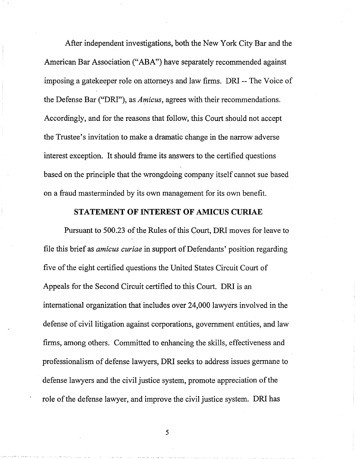After independent investigations, both the New York City Bar and the American Bar Association ("ABA") have separately recommended against imposing a gatekeeper role on attorneys and law firms. DRI -- The Voice of the Defense Bar ("DRI"), as *Amicus,* agrees with their recommendations. Accordingly, and for the reasons that follow, this Court should not accept the Trustee's invitation to make a dramatic change in the narrow adverse interest exception. It should frame its answers to the certified questions based on the principle that the wrongdoing company itself cannot sue based on a fraud masterminded by its own management for its own benefit.

### **STATEMENT OF INTEREST OF AMICUS CURIAE**

Pursuant to 500.23 of the Rules of this Court, DRI moves for leave to file this brief as *amicus curiae* in support of Defendants' position regarding five of the eight certified questions the United States Circuit Court of Appeals for the Second Circuit certified to this Court. DRI is an international organization that includes over 24,000 lawyers involved in the defense of civil litigation against corporations, government entities, and law firms, among others. Committed to enhancing the skills, effectiveness and professionalism of defense lawyers, DRI seeks to address issues germane to defense lawyers and the civil justice system, promote appreciation of the role of the defense lawyer, and improve the civil justice system. DRI has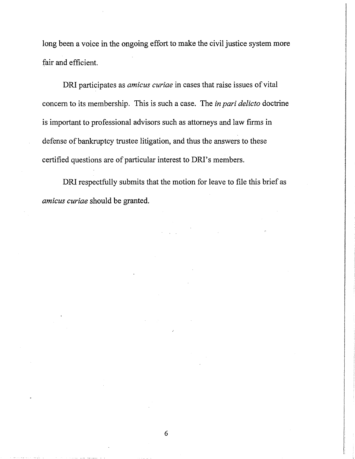long been a voice in the ongoing effort to make the civil justice system more fair and efficient.

DRI participates as *amicus curiae* in cases that raise issues of vital concern to its membership. This is such a case. The *in pari delicto* doctrine is important to professional advisors such as attorneys and law firms in defense of bankruptcy trustee litigation, and thus the answers to these certified questions are of particular interest to DRI's members.

DRI respectfully submits that the motion for leave to file this brief as *amicus curiae* should be granted.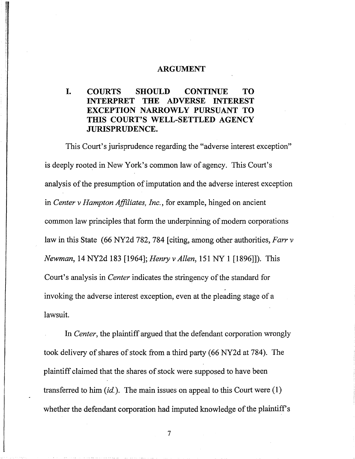### **ARGUMENT**

### **I. COURTS SHOULD CONTINUE TO INTERPRET THE ADVERSE INTEREST EXCEPTION NARROWLY PURSUANT TO THIS COURT'S WELL-SETTLED AGENCY JURISPRUDENCE.**

This Court's jurisprudence regarding the "adverse interest exception" is deeply rooted in New York's common law of agency. This Court's analysis of the presumption of imputation and the adverse interest exception in *Center* v *Hampton Affiliates, Inc.,* for example, hinged on ancient common law principles that form the underpinning of modern corporations law in this State (66 NY2d 782, 784 [citing, among other authorities, *Farr* v *Newman,* 14 NY2d 183 [1964]; *Henry* v*Allen,* 151 NY 1 [1896]]). This Court's analysis in *Center* indicates the stringency of the standard for invoking the adverse interest exception, even at the pleading stage of a lawsuit.

In *Center,* the plaintiff argued that the defendant corporation wrongly took delivery of shares of stock from a third party (66 NY2d at 784). The plaintiff claimed that the shares of stock were supposed to have been transferred to him *(id.).* The main issues on appeal to this Court were (1) whether the defendant corporation had imputed knowledge of the plaintiff's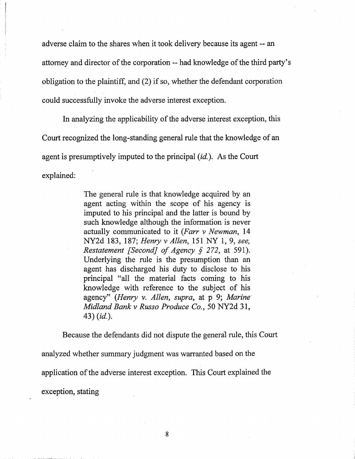adverse claim to the shares when it took delivery because its agent -- an attorney and director of the corporation -- had knowledge of the third party's obligation to the plaintiff, and  $(2)$  if so, whether the defendant corporation could successfully invoke the adverse interest exception.

In analyzing the applicability of the adverse interest exception, this Court recognized the long-standing general rule that the knowledge of an agent is presumptively imputed to the principal *(id.).* As the Court explained:

> The general rule is that knowledge acquired by an agent acting within the scope of his agency is imputed to his principal and the latter is bound by such knowledge although the information is never actually communicated to it *(Farr* v *Newman, 14* NY2d 183, 187; *Henry* v *Allen,* 151 NY 1, 9, *see, Restatement [Second] of Agency* § 272, at 591). Underlying the rule is the presumption than an agent has discharged his duty to disclose to his principal "all the material facts coming to his knowledge with reference to the subject of his agency" *(Henry* v. *Allen, supra,* at p 9; *Marine" Midland Bank* v *Russo Produce Co.,* 50 NY2d 31, 43) *(id.).*

Because the defendants did not dispute the general rule, this Court analyzed whether summary judgment was warranted based on the application of the adverse interest exception. This Court explained the exception, stating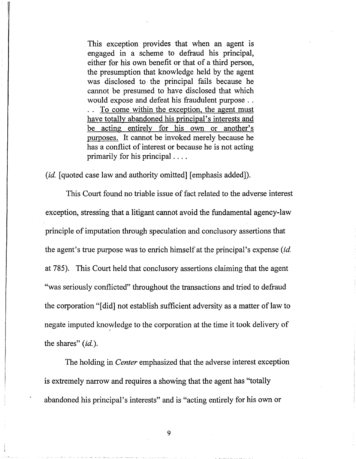This exception provides that when an agent is engaged in a scheme to defraud his principal, either for his own benefit or that of a third person, the presumption that knowledge held by the agent was disclosed to· the principal fails because he cannot be presumed to have disclosed that which would expose and defeat his fraudulent purpose . . To come within the exception, the agent must have totally abandoned his principal's interests and be acting entirely for his own or another's purposes. It cannot be invoked merely because he has a conflict of interest or because he is not acting primarily for his principal ....

*(id.* [quoted case law and authority omitted] [emphasis added]).

This Court found no triable issue of fact related to the adverse interest exception, stressing that a litigant cannot avoid the fundamental agency-law principle of imputation through speculation and conclusory assertions that the agent's true purpose was to enrich himself at the principal's expense *(id.* at 785). This Court held that conclusory assertions claiming that the agent "was seriously conflicted" throughout the transactions and tried to defraud the corporation "[did] not establish sufficient adversity as a matter of law to negate imputed knowledge to the corporation at the time it took delivery of the shares" *(id.).*

The holding in *Center* emphasized that the adverse interest exception is extremely narrow and requires a showing that the agent has "totally abandoned his principal's interests" and is "acting entirely for his own or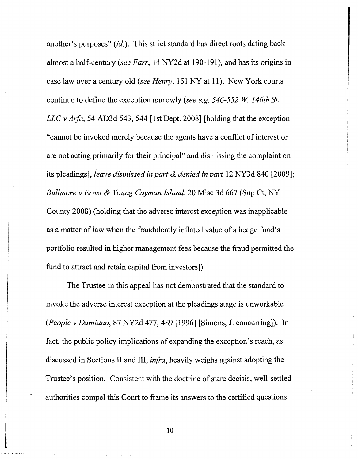another's purposes" *(id.).* This strict standard has direct roots dating back almost a half-century *(see Farr,* 14 NY2d at 190-191), and has its origins in case law over a century old *(see Henry,* 151 NY at 11). New York courts continue to define the exception narrowly *(see e.g.* 546-552 *W. 146th St. LLC* v *Arfa*, 54 AD3d 543, 544 [1st Dept. 2008] [holding that the exception "cannot be invoked merely because the agents have a conflict of interest or are not acting primarily for their principal" and dismissing the complaint on its pleadings], *leave dismissed in part* & *denied in part* 12 NY3d 840 [2009]; *Bullmore* v *Ernst* & *Young Cayman Island,* 20 Misc 3d 667 (Sup Ct, NY County 2008) (holding that the adverse interest exception was inapplicable as a matter of law when the fraudulently inflated value of a hedge fund's portfolio resulted in higher management fees because the fraud permitted the fund to attract and retain capital from investors]).

The Trustee in this appeal has not demonstrated that the standard to invoke the adverse interest exception at the pleadings stage is unworkable *(People* v *Damiano,* 87 NY2d 477,489 [1996] [Simons, J. concurring]). In fact, the public policy implications of expanding the exception's reach, as discussed in Sections II and III, *infra,* heavily weighs against adopting the Trustee's position. Consistent with the doctrine of stare decisis, well-settled authorities compel this Court to frame its answers to the certified questions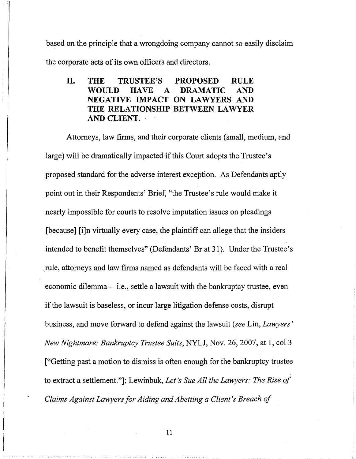based on the principle that a wrongdoing company cannot so easily disclaim the corporate acts of its own officers and directors.

### II. THE TRUSTEE'S PROPOSED RULE WOULD HAVE A DRAMATIC AND NEGATIVE IMPACT ON LAWYERS AND THE RELATIONSHIP BETWEEN LAWYER AND CLIENT. '

Attorneys, law firms, and their corporate clients (small, medium, and large) will be dramatically impacted if this Court adopts the Trustee's proposed standard for the adverse interest exception. As Defendants aptly point out in their Respondents' Brief, "the Trustee's rule would make it nearly impossible for courts to resolve imputation issues on pleadings [because] [i]n virtually every case, the plaintiff can allege that the insiders intended to benefit themselves" (Defendants' Br at 31). Under the Trustee's \rule, attorneys and law firms named as defendants will be faced with a real economic dilemma -- i.e., settle a lawsuit with the bankruptcy trustee, even if the lawsuit is baseless, or incur large litigation defense costs, disrupt business, and move forward to defend against the lawsuit *(see* Lin, *Lawyers' New Nightmare: Bankruptcy Trustee Suits,* NYLJ, Nov. 26,2007, at 1, col 3 ["Getting past a motion to dismiss is often enough for the bankruptcy trustee to extract a settlement."]; Lewinbuk, *Let's Sue All the Lawyers: The Rise of Claims Against Lawyersfor Aiding and Abetting a Client's Breach of*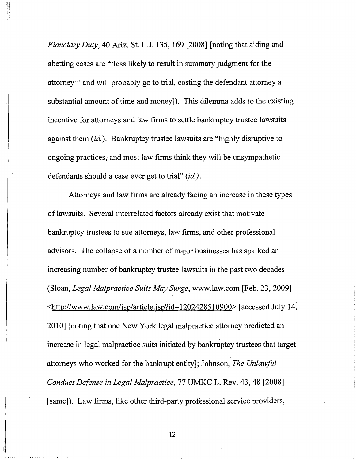*Fiduciary Duty,* 40 Ariz. St. L.J. 135, 169 [2008] [noting that aiding and abetting cases are "'less likely to result in summary judgment for the attorney'" and will probably go to trial, costing the defendant attorney a substantial amount of time and money]). This dilemma adds to the existing incentive for attorneys and law firms to settle bankruptcy trustee lawsuits against them *(id.).* Bankruptcy trustee lawsuits are "highly disruptive to ongoing practices; and most law firms think they will be unsympathetic defendants should a case ever get to trial" *(id.).*

Attorneys and law firms are already facing an increase in these types of lawsuits. Several interrelated factors already exist that motivate bankruptcy trustees to sue attorneys, law firms, and other professional advisors. The collapse of a number of major businesses has sparked an increasing number of bankruptcy trustee lawsuits in the past two decades (Sloan, *Legal Malpractice Suits May Surge,* www.law.com [Feb. 23, 2009] <http://www.law.com/jsp/article.jsp?id=1202428510900> [accessed July 14, 2010] [noting that one New York legal malpractice attorney predicted an increase in legal malpractice suits initiated by bankruptcy trustees that target attorneys who worked for the bankrupt entity]; Johnson, *The Unlawful Conduct Defense in Legal Malpractice,* 77 UMKC L. Rev. 43,48 [2008] [same]). Law firms, like other third-party professional service providers,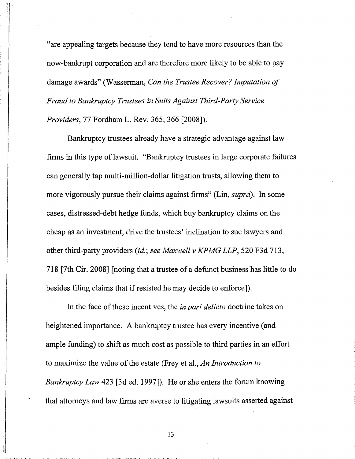"are appealing targets because they tend to have more resources than the now-bankrupt corporation and are therefore more likely to be able to pay damage awards" (Wasserman, *Can the Trustee Recover? Imputation of Fraud to Bankruptcy Trustees in Suits Against Third-Party Service Providers,* 77 Fordham L. Rev. 365, 366 [2008]).

Bankruptcy trustees already have a strategic advantage against law firms in this type of lawsuit. "Bankruptcy trustees in large corporate failures can generally tap multi-million-dollar litigation trusts, allowing them to more vigorously pursue their claims against firms" (Lin, *supra).* In some cases, distressed-debt hedge funds, which buy bankruptcy claims on the cheap as an investment, drive the trustees' inclination to sue lawyers and other third-party providers *(id.; see Maxwell* v *KPMG LLP,* 520 F3d 713, 718 [7th Cir. 2008] [noting that a trustee of a defunct business has little to do besides filing claims that if resisted he may decide to enforce]).

In the face of these incentives, the *in pari delicto* doctrine takes on heightened importance. A bankruptcy trustee has every incentive (and ample funding) to shift as much cost as possible to third parties in an effort to maximize the value of the estate (Frey et al., *An Introduction to Bankruptcy Law* 423 [3d ed. 1997]). He or she enters the forum knowing that attorneys and law firms are averse to litigating lawsuits asserted against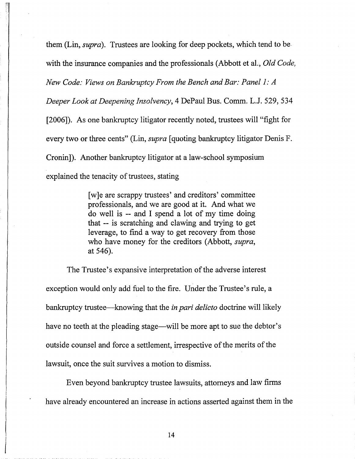them (Lin, *supra).* Trustees are looking for deep pockets, which tend to be with the insurance companies and the professionals (Abbott et aI., *Old Code, New Code: Views on Bankruptcy From the Bench and Bar: Panel* 1: *A Deeper Look at Deepening Insolvency,* 4 DePaul Bus. Comm. L.J. 529, 534 [2006]). As one bankruptcy litigator recently noted, trustees will "fight for every two or three cents" (Lin, *supra* [quoting bankruptcy litigator Denis F. Cronin]). Another bankruptcy litigator at a law-school symposium explained the tenacity of trustees, stating

> [w]e are scrappy trustees' and creditors' committee professionals, and we are good at it. And what we do well is -- and I spend a lot of my time doing that -- is scratching and clawing and trying to get leverage, to find a way to get recovery from those who have money for the creditors (Abbott, *supra,* at 546).

The Trustee's expansive interpretation of the adverse interest exception would only add fuel to the fire. Under the Trustee's rule, a bankruptcy trustee-knowing that the *in pari delicto* doctrine will likely have no teeth at the pleading stage—will be more apt to sue the debtor's outside counsel and force a settlement, irrespective of the merits of the lawsuit, once the suit survives a motion to dismiss.

Even beyond bankruptcy trustee lawsuits, attorneys and law firms have already encountered an increase in actions asserted against them in the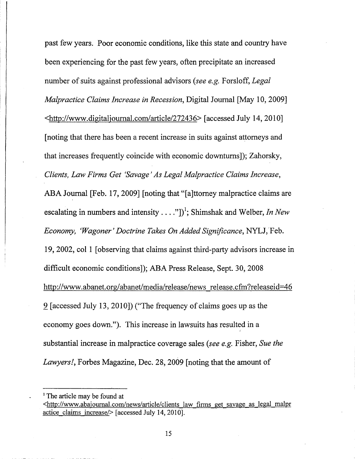past few years. Poor economic conditions, like this state and country have been experiencing for the past few years, often precipitate an increased number of suits against professional advisors *(see e.g.* Forsloff, *Legal Malpractice Claims Increase in Recession,* Digital Journal [May 10, 2009] <http://www.digitaljournal.comlarticle/272436> [accessed July 14,2010] [noting that there has been a recent increase in suits against attorneys and that increases frequently coincide with economic downturns]); Zahorsky, *Clients, Law Firms Get (Savage' As Legal Malpractice Claims Increase,* ABA Journal [Feb. 17, 2009] [noting that "[a]ttorney malpractice claims are escalating in numbers and intensity  $\dots$ ...,"])<sup>1</sup>; Shimshak and Welber, *In New Economy, (Wagoner' Doctrine Takes On Added Significance,* NYLJ,'Feb. 19, 2002, col 1 [observing that claims against third-party advisors increase in difficult economic conditions]); ABA Press Release, Sept. 30,2008 http://www.abanet.org/abanet/media/release/news release.cfm?releaseid=46 .2 [accessed July 13,2010]) ("The frequency of claims goes up as the economy goes down."). This increase in lawsuits has resulted in a substantial increase in malpractice coverage sales *(see e.g.* Fisher, *Sue the Lawyers!,* Forbes Magazine, Dec. 28,2009 [noting that the amount of

<sup>&</sup>lt;sup>1</sup> The article may be found at

<sup>&</sup>lt;http://www.abajoumal.com/news/article/clients law finns get savage as legal malpr actice claims increase/> [accessed July 14, 2010].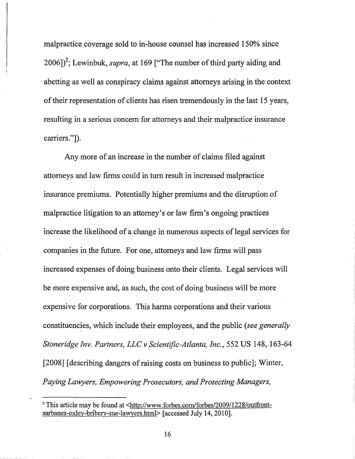malpractice coverage sold to in-house counsel has increased 150% since 2006])<sup>2</sup>; Lewinbuk, *supra*, at 169 ["The number of third party aiding and abetting as well as conspiracy claims against attorneys arising in the context of their representation of clients has risen tremendously in the last 15 years, resulting in a serious concern for attorneys and their malpractice insurance carriers."]).

Any more of an increase in the number of claims filed against attorneys and law firms could in tum result in increased malpractice insurance premiums. Potentially higher premiums and the disruption of malpractice litigation to an attorney's or law firm's ongoing practices increase the likelihood of a change in numerous aspects of legal services for companies in the future. For one, attorneys and law firms will pass increased expenses of doing business onto their clients. Legal services will be more expensive and, as such, the cost of doing business will be more expensive for corporations. This harms corporations and their various constituencies, which include their employees, and the public *(see generally Stoneridge Inv. Partners, LLC* v *Scientific-Atlanta, Inc.,* 552 US 148, 163-64 [2008] [describing dangers of raising costs on business to public]; Winter, *Paying Lawyers, Empowering Prosecutors, and Protecting Managers,*

<sup>&</sup>lt;sup>2</sup> This article may be found at <http://www.forbes.com/forbes/2009/1228/outfrontsarbanes-oxley-bribery-sue-lawyers.html> [accessed July 14, 2010].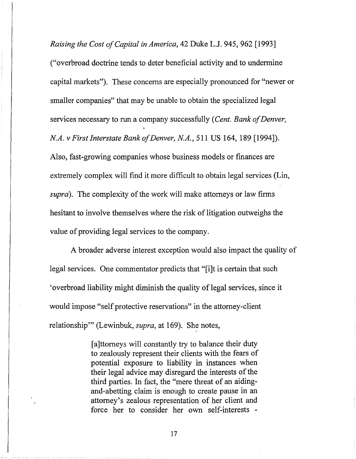*Raising the Cost ofCapital in America,* 42 Duke LJ. 945, 962 [1993] ("overbroad doctrine tends to deter beneficial activity and to undermine capital markets"). These concerns are especially pronounced for "newer or smaller companies" that may be unable to obtain the specialized legal services necessary to run a company successfully (Cent. Bank of Denver, *N.A.* v *First Interstate Bank ofDenver, N.A.,* 511 US 164, 189 [1994]). Also, fast-growing companies whose business models or finances are extremely complex will find it more difficult to obtain legal services (Lin, supra). The complexity of the work will make attorneys or law firms hesitant to involve themselves where the risk of litigation outweighs the value of providing legal services to the company.

A broader adverse interest exception would also impact the quality of legal services. One commentator predicts that "[i]t is certain that such 'overbroad liability might diminish the quality of legal services, since it would impose "self protective reservations" in the attorney-client relationship'" (Lewinbuk, *supra,* at 169). She notes,

> [a]ttorneys will constantly try to balance their duty to zealously represent their clients with the fears of potential exposure to liability in instances when their legal advice may disregard the interests of the third parties. In fact, the "mere threat of an aidingand-abetting claim is enough to create pause in an attorney's zealous representation of her client and force her to consider her own self-interests -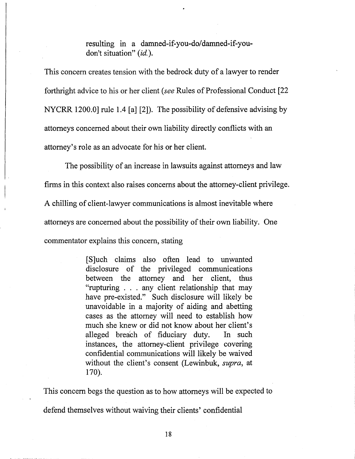resulting in a damned-if-you-do/damned-if-youdon't situation" (id.).

This concern creates tension with the bedrock duty of a lawyer to render forthright advice to his or her client *(see* Rules of Professional Conduct [22 NYCRR 1200.0] rule 1.4 [a] [2]). The possibility of defensive advising by attorneys concerned about their own liability directly conflicts with an attorney's role as an advocate for his or her client.

The possibility of an increase in lawsuits against attorneys and law

firms in this context also raises concerns about the attorney-client privilege.

A chilling of client-lawyer communications is almost inevitable where

attorneys are concerned about the possibility of their own liability. One

commentator explains this concern, stating

[S]uch claims also often lead to unwanted disclosure of the privileged communications between the attorney and. her client, thus "rupturing . . . any client relationship that may have pre-existed." Such disclosure will likely be unavoidable in a majority of aiding and abetting cases as the attorney will need to establish how much she knew or did not know about her client's alleged breach of fiduciary duty. In such instances, the attorney-client privilege covering confidential communications will likely be waived without the client's consent (Lewinbuk, *supra,* at 170).

This concern begs the question as to how attorneys will be expected to defend themselves without waiving their clients' confidential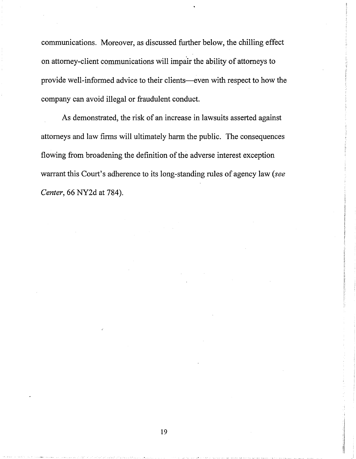communications. Moreover, as discussed further below, the chilling effect on attorney-client communications will impair the ability of attorneys to provide well-informed advice to their clients-even with respect to how the company can avoid illegal or fraudulent conduct.

As demonstrated, the risk of an increase in lawsuits asserted against attorneys and law firms will ultimately harm the public. The consequences flowing from broadening the definition of the adverse interest exception warrant this Court's adherence to its long-standing rules of agency law *(see Center,* 66 NY2d at 784).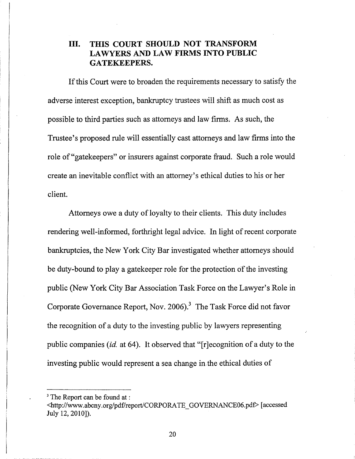### **III. THIS COURT SHOULD NOT TRANSFORM LAWYERS AND LAW FIRMS INTO PUBLIC GATEKEEPERS.**

If this Court were to broaden the requirements necessary to satisfy the adverse interest exception, bankruptcy trustees will shift as much cost as possible to third parties such as attorneys and law firms. As such, the Trustee's proposed rule will essentially cast attorneys and law firms into the role of "gatekeepers" or insurers against corporate fraud. Such a role would create an inevitable conflict with an attorney's ethical duties to his or her client.

Attorneys owe a duty of loyalty to their clients. This duty includes rendering well-informed, forthright legal advice. In light of recent corporate bankruptcies, the New York City Bar investigated whether attorneys should be duty-bound to play a gatekeeper role for the protection of the investing public (New York City Bar Association Task Force on the Lawyer's Role in Corporate Governance Report, Nov. 2006).<sup>3</sup> The Task Force did not favor the recognition of a duty to the investing public by lawyers representing public companies *(id.* at 64). It observed that "[r]ecognition ofa duty to the investing public would represent a sea change in.the ethical duties of

<sup>&</sup>lt;sup>3</sup> The Report can be found at :

<sup>&</sup>lt;http://www.abcny.org/pdf/report/CORPORATE\_GOVERNANCE06.pdf> [accessed July 12,2010]).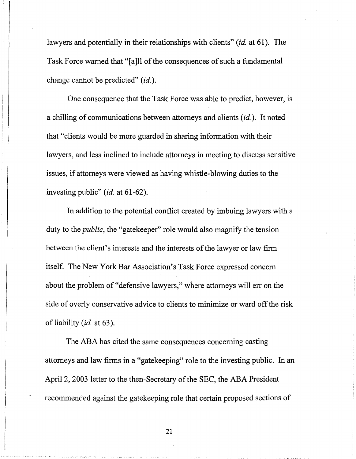lawyers and potentially in their relationships with clients" *(id.* at 61). The Task Force warned that "[a]ll of the consequences of such a fundamental change cannot be predicted" *(id.).*

One consequence that the Task Force was able to predict, however, is a chilling of communications between attorneys and clients *(id.).* It noted that "clients would be more guarded in sharing information with their lawyers, and less inclined to include attorneys in meeting to discuss sensitive issues, if attorneys were viewed as having whistle-blowing duties to the investing public" *(id.* at 61-62).

In addition to the potential conflict created by imbuing lawyers with a duty to the *public,* the "gatekeeper" role would also magnify the tension between the client's interests and the interests of the lawyer or law firm itself. The New York Bar Association's Task Force expressed concern about the problem of "defensive lawyers," where attorneys will err on the side of overly conservative advice to clients to minimize or ward off the risk of liability *(id.* at 63).

The ABA has cited the same consequences concerning casting attorneys and law firms in a "gatekeeping" role to the investing public. In an April 2, 2003 letter to the then-Secretary of the SEC, the ABA President recommended against the gatekeeping role that certain proposed sections of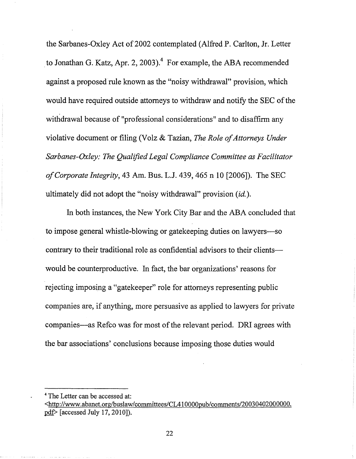the Sarbanes-Oxley Act of 2002 contemplated (Alfred P. Carlton, Jr. Letter to Jonathan G. Katz, Apr. 2, 2003).<sup>4</sup> For example, the ABA recommended against a proposed rule known as the "noisy withdrawal" provision, which would have required outside attorneys to withdraw and notify the SEC of the withdrawal because of "professional considerations" and to disaffirm any violative document or filing (Volz & Tazian, *The Role of Attorneys Under Sarbanes-Oxley: The Qualified Legal Compliance Committee as Facilitator ofCorporate Integrity,* 43 Am. Bus. LJ. 439, 465 n 10 [2006]). The SEC ultimately did not adopt the "noisy withdrawal" provision *(id.).*

In both instances, the New York City Bar and the ABA concluded that to impose general whistle-blowing or gatekeeping duties on lawyers-so contrary to their traditional role as confidential advisors to their clientswould be counterproductive. In fact, the bar organizations' reasons for rejecting imposing a "gatekeeper" role for attorneys representing public companies are, if anything, more persuasive as applied to lawyers for private companies—as Refco was for most of the relevant period. DRI agrees with the bar associations' conclusions because imposing those duties would

<sup>4</sup> The Letter can be accessed at:

<sup>&</sup>lt;http://www.abanet.org/buslaw/committees/CL410000pub/comments/20030402000000.  $pdf$  [accessed July 17, 2010]).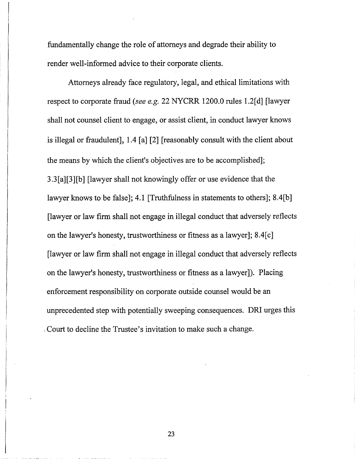fundamentally change the role of attorneys and degrade their ability to render well-informed advice to their corporate clients.

Attorneys already face regulatory, legal, and ethical limitations with respect to corporate fraud *(see e.g.* 22 NYCRR 1200.0 rules 1.2[d] [lawyer shall not counsel client to engage, or assist client, in conduct lawyer knows is illegal or fraudulent], 1.4 [a] [2] [reasonably consult with the client about the means by which the client's objectives are to be accomplished]; 3.3[a][3][b] [lawyer shall not knowingly offer or use evidence that the lawyer knows to be false]; 4.1 [Truthfulness in statements to others]; 8.4[b] [lawyer or law firm shall not engage in illegal conduct that adversely reflects on the lawyer's honesty, trustworthiness or fitness as a lawyer]; 8.4[c] [lawyer or law firm shall not engage in illegal conduct that adversely reflects on the lawyer's honesty, trustworthiness or fitness as a lawyer]). Placing enforcement responsibility on corporate outside counsel would be an unprecedented step with potentially sweeping consequences. DRl urges this .' Court to decline the Trustee's invitation to make such a change.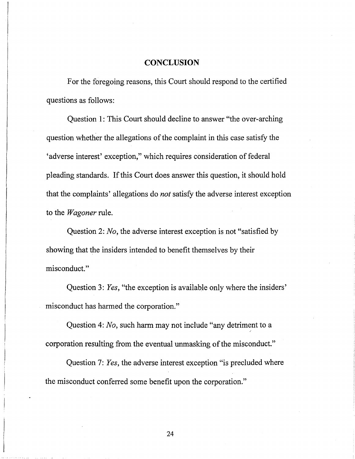### **CONCLUSION**

For the foregoing reasons, this Court should respond to the certified questions as follows:

Question 1: This Court should decline to answer "the over-arching question whether the allegations of the complaint in this case satisfy the 'adverse interest' exception," which requires consideration of federal pleading standards. If this Court does answer this question, it should hold that the complaints' allegations do *not* satisfy the adverse interest exception to the *Wagoner* rule.

Question 2: *No,* the adverse interest exception is not "satisfied by showing that the insiders intended to benefit themselves by their misconduct."

Question 3: *Yes,* "the exception is available only where the insiders' misconduct has harmed the corporation."

Question 4: *No,* such harm may not include "any detriment to a corporation resulting from the eventual unmasking of the misconduct."

Question 7: *Yes,* the adverse interest exception "is precluded where the misconduct conferred some benefit upon the corporation."